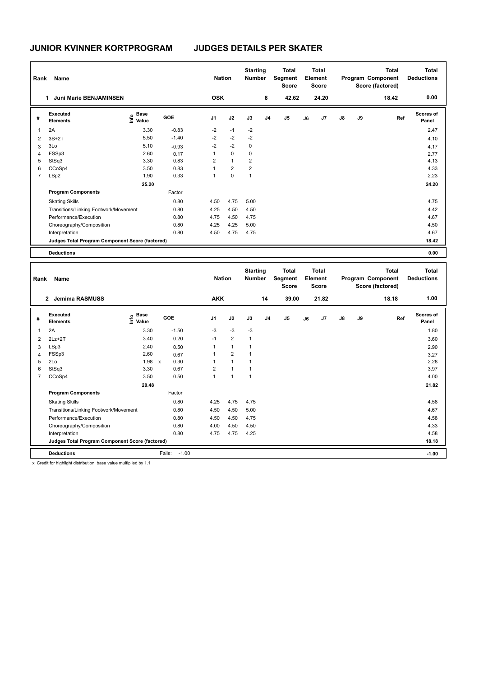| Rank | Name                                            |                                                    |            | <b>Nation</b>  |                | <b>Starting</b><br><b>Number</b> |                | <b>Total</b><br>Segment<br><b>Score</b> |    | <b>Total</b><br>Element<br><b>Score</b> |               |    | Total<br>Program Component<br>Score (factored) | <b>Total</b><br><b>Deductions</b> |
|------|-------------------------------------------------|----------------------------------------------------|------------|----------------|----------------|----------------------------------|----------------|-----------------------------------------|----|-----------------------------------------|---------------|----|------------------------------------------------|-----------------------------------|
|      | <b>Juni Marie BENJAMINSEN</b><br>$\mathbf{1}$   |                                                    |            | <b>OSK</b>     |                |                                  | 8              | 42.62                                   |    | 24.20                                   |               |    | 18.42                                          | 0.00                              |
| #    | <b>Executed</b><br><b>Elements</b>              | $\frac{e}{E}$ Base<br>$\frac{E}{E}$ Value<br>Value | <b>GOE</b> | J <sub>1</sub> | J2             | J3                               | J <sub>4</sub> | J5                                      | J6 | J7                                      | $\mathsf{J}8$ | J9 | Ref                                            | <b>Scores of</b><br>Panel         |
| 1    | 2A                                              | 3.30                                               | $-0.83$    | $-2$           | $-1$           | $-2$                             |                |                                         |    |                                         |               |    |                                                | 2.47                              |
| 2    | $3S+2T$                                         | 5.50                                               | $-1.40$    | $-2$           | $-2$           | $-2$                             |                |                                         |    |                                         |               |    |                                                | 4.10                              |
| 3    | 3Lo                                             | 5.10                                               | $-0.93$    | $-2$           | $-2$           | 0                                |                |                                         |    |                                         |               |    |                                                | 4.17                              |
| 4    | FSSp3                                           | 2.60                                               | 0.17       |                | $\mathbf 0$    | 0                                |                |                                         |    |                                         |               |    |                                                | 2.77                              |
| 5    | StSq3                                           | 3.30                                               | 0.83       | 2              | $\mathbf{1}$   | $\overline{2}$                   |                |                                         |    |                                         |               |    |                                                | 4.13                              |
| 6    | CCoSp4                                          | 3.50                                               | 0.83       |                | $\overline{2}$ | $\overline{2}$                   |                |                                         |    |                                         |               |    |                                                | 4.33                              |
| 7    | LSp2                                            | 1.90                                               | 0.33       |                | $\mathbf 0$    | 1                                |                |                                         |    |                                         |               |    |                                                | 2.23                              |
|      |                                                 | 25.20                                              |            |                |                |                                  |                |                                         |    |                                         |               |    |                                                | 24.20                             |
|      | <b>Program Components</b>                       |                                                    | Factor     |                |                |                                  |                |                                         |    |                                         |               |    |                                                |                                   |
|      | <b>Skating Skills</b>                           |                                                    | 0.80       | 4.50           | 4.75           | 5.00                             |                |                                         |    |                                         |               |    |                                                | 4.75                              |
|      | Transitions/Linking Footwork/Movement           |                                                    | 0.80       | 4.25           | 4.50           | 4.50                             |                |                                         |    |                                         |               |    |                                                | 4.42                              |
|      | Performance/Execution                           |                                                    | 0.80       | 4.75           | 4.50           | 4.75                             |                |                                         |    |                                         |               |    |                                                | 4.67                              |
|      | Choreography/Composition                        |                                                    | 0.80       | 4.25           | 4.25           | 5.00                             |                |                                         |    |                                         |               |    |                                                | 4.50                              |
|      | Interpretation                                  |                                                    | 0.80       | 4.50           | 4.75           | 4.75                             |                |                                         |    |                                         |               |    |                                                | 4.67                              |
|      | Judges Total Program Component Score (factored) |                                                    |            |                |                |                                  |                |                                         |    |                                         |               |    |                                                | 18.42                             |
|      | <b>Deductions</b>                               |                                                    |            |                |                |                                  |                |                                         |    |                                         |               |    |                                                | 0.00                              |

| Rank           | Name                                            |                                  |                      | <b>Nation</b>  |                | <b>Starting</b><br><b>Number</b> |                | <b>Total</b><br>Segment<br><b>Score</b> |    | <b>Total</b><br>Element<br><b>Score</b> |               |    | <b>Total</b><br>Program Component<br>Score (factored) | <b>Total</b><br><b>Deductions</b> |
|----------------|-------------------------------------------------|----------------------------------|----------------------|----------------|----------------|----------------------------------|----------------|-----------------------------------------|----|-----------------------------------------|---------------|----|-------------------------------------------------------|-----------------------------------|
|                | <b>Jemima RASMUSS</b><br>$\mathbf{2}$           |                                  |                      | <b>AKK</b>     |                |                                  | 14             | 39.00                                   |    | 21.82                                   |               |    | 18.18                                                 | 1.00                              |
| #              | Executed<br><b>Elements</b>                     | <b>Base</b><br>e Base<br>E Value | <b>GOE</b>           | J <sub>1</sub> | J2             | J3                               | J <sub>4</sub> | J <sub>5</sub>                          | J6 | J7                                      | $\mathsf{J}8$ | J9 | Ref                                                   | <b>Scores of</b><br>Panel         |
| 1              | 2A                                              | 3.30                             | $-1.50$              | $-3$           | $-3$           | $-3$                             |                |                                         |    |                                         |               |    |                                                       | 1.80                              |
| $\overline{2}$ | $2Lz+2T$                                        | 3.40                             | 0.20                 | $-1$           | $\overline{2}$ | $\overline{1}$                   |                |                                         |    |                                         |               |    |                                                       | 3.60                              |
| 3              | LSp3                                            | 2.40                             | 0.50                 | 1              | $\mathbf{1}$   | 1                                |                |                                         |    |                                         |               |    |                                                       | 2.90                              |
| 4              | FSSp3                                           | 2.60                             | 0.67                 | 1              | $\overline{2}$ | и                                |                |                                         |    |                                         |               |    |                                                       | 3.27                              |
| 5              | 2Lo                                             | 1.98                             | 0.30<br>$\mathsf{x}$ | 1              | $\overline{1}$ | 1                                |                |                                         |    |                                         |               |    |                                                       | 2.28                              |
| 6              | StSq3                                           | 3.30                             | 0.67                 | 2              | $\overline{1}$ | 1                                |                |                                         |    |                                         |               |    |                                                       | 3.97                              |
| $\overline{7}$ | CCoSp4                                          | 3.50                             | 0.50                 | $\overline{1}$ | $\overline{1}$ | $\overline{1}$                   |                |                                         |    |                                         |               |    |                                                       | 4.00                              |
|                |                                                 | 20.48                            |                      |                |                |                                  |                |                                         |    |                                         |               |    |                                                       | 21.82                             |
|                | <b>Program Components</b>                       |                                  | Factor               |                |                |                                  |                |                                         |    |                                         |               |    |                                                       |                                   |
|                | <b>Skating Skills</b>                           |                                  | 0.80                 | 4.25           | 4.75           | 4.75                             |                |                                         |    |                                         |               |    |                                                       | 4.58                              |
|                | Transitions/Linking Footwork/Movement           |                                  | 0.80                 | 4.50           | 4.50           | 5.00                             |                |                                         |    |                                         |               |    |                                                       | 4.67                              |
|                | Performance/Execution                           |                                  | 0.80                 | 4.50           | 4.50           | 4.75                             |                |                                         |    |                                         |               |    |                                                       | 4.58                              |
|                | Choreography/Composition                        |                                  | 0.80                 | 4.00           | 4.50           | 4.50                             |                |                                         |    |                                         |               |    |                                                       | 4.33                              |
|                | Interpretation                                  |                                  | 0.80                 | 4.75           | 4.75           | 4.25                             |                |                                         |    |                                         |               |    |                                                       | 4.58                              |
|                | Judges Total Program Component Score (factored) |                                  |                      |                |                |                                  |                |                                         |    |                                         |               |    |                                                       | 18.18                             |
|                | <b>Deductions</b>                               |                                  | $-1.00$<br>Falls:    |                |                |                                  |                |                                         |    |                                         |               |    |                                                       | $-1.00$                           |

x Credit for highlight distribution, base value multiplied by 1.1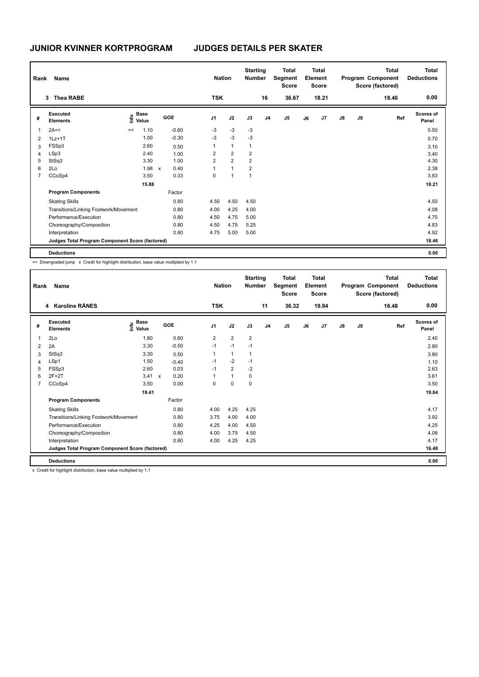| Rank | Name                                            |                        |       |                           |         |                | <b>Nation</b>  | <b>Starting</b><br><b>Number</b> |                | <b>Total</b><br>Segment<br><b>Score</b> |    | <b>Total</b><br>Element<br><b>Score</b> |               |    | <b>Total</b><br>Program Component<br>Score (factored) | <b>Total</b><br><b>Deductions</b> |
|------|-------------------------------------------------|------------------------|-------|---------------------------|---------|----------------|----------------|----------------------------------|----------------|-----------------------------------------|----|-----------------------------------------|---------------|----|-------------------------------------------------------|-----------------------------------|
|      | Thea RABE<br>3                                  |                        |       |                           |         | <b>TSK</b>     |                |                                  | 16             | 36.67                                   |    | 18.21                                   |               |    | 18.46                                                 | 0.00                              |
| #    | <b>Executed</b><br><b>Elements</b>              | $\sum_{i=1}^{n}$ Value | Value | <b>GOE</b>                |         | J <sub>1</sub> | J2             | J3                               | J <sub>4</sub> | J <sub>5</sub>                          | J6 | J <sub>7</sub>                          | $\mathsf{J}8$ | J9 | Ref                                                   | Scores of<br>Panel                |
| 1    | 2A<<                                            | <<                     | 1.10  |                           | $-0.60$ | $-3$           | $-3$           | $-3$                             |                |                                         |    |                                         |               |    |                                                       | 0.50                              |
| 2    | $1Lz+1T$                                        |                        | 1.00  |                           | $-0.30$ | $-3$           | $-3$           | $-3$                             |                |                                         |    |                                         |               |    |                                                       | 0.70                              |
| 3    | FSSp3                                           |                        | 2.60  |                           | 0.50    | 1              | $\mathbf{1}$   | $\mathbf{1}$                     |                |                                         |    |                                         |               |    |                                                       | 3.10                              |
| 4    | LSp3                                            |                        | 2.40  |                           | 1.00    | $\overline{2}$ | $\overline{2}$ | $\overline{2}$                   |                |                                         |    |                                         |               |    |                                                       | 3.40                              |
| 5    | StSq3                                           |                        | 3.30  |                           | 1.00    | $\overline{2}$ | $\overline{2}$ | 2                                |                |                                         |    |                                         |               |    |                                                       | 4.30                              |
| 6    | 2Lo                                             |                        | 1.98  | $\boldsymbol{\mathsf{x}}$ | 0.40    |                | $\mathbf{1}$   | $\overline{2}$                   |                |                                         |    |                                         |               |    |                                                       | 2.38                              |
| 7    | CCoSp4                                          |                        | 3.50  |                           | 0.33    | 0              | 1              |                                  |                |                                         |    |                                         |               |    |                                                       | 3.83                              |
|      |                                                 |                        | 15.88 |                           |         |                |                |                                  |                |                                         |    |                                         |               |    |                                                       | 18.21                             |
|      | <b>Program Components</b>                       |                        |       |                           | Factor  |                |                |                                  |                |                                         |    |                                         |               |    |                                                       |                                   |
|      | <b>Skating Skills</b>                           |                        |       |                           | 0.80    | 4.50           | 4.50           | 4.50                             |                |                                         |    |                                         |               |    |                                                       | 4.50                              |
|      | Transitions/Linking Footwork/Movement           |                        |       |                           | 0.80    | 4.00           | 4.25           | 4.00                             |                |                                         |    |                                         |               |    |                                                       | 4.08                              |
|      | Performance/Execution                           |                        |       |                           | 0.80    | 4.50           | 4.75           | 5.00                             |                |                                         |    |                                         |               |    |                                                       | 4.75                              |
|      | Choreography/Composition                        |                        |       |                           | 0.80    | 4.50           | 4.75           | 5.25                             |                |                                         |    |                                         |               |    |                                                       | 4.83                              |
|      | Interpretation                                  |                        |       |                           | 0.80    | 4.75           | 5.00           | 5.00                             |                |                                         |    |                                         |               |    |                                                       | 4.92                              |
|      | Judges Total Program Component Score (factored) |                        |       |                           |         |                |                |                                  |                |                                         |    |                                         |               |    |                                                       | 18.46                             |
|      | <b>Deductions</b>                               |                        |       |                           |         |                |                |                                  |                |                                         |    |                                         |               |    |                                                       | 0.00                              |

<< Downgraded jump x Credit for highlight distribution, base value multiplied by 1.1

| Rank           | Name                                            |                                  |              |         | <b>Nation</b>  |                | <b>Starting</b><br><b>Number</b> |                | <b>Total</b><br>Segment<br><b>Score</b> |    | <b>Total</b><br>Element<br><b>Score</b> |               |    | <b>Total</b><br>Program Component<br>Score (factored) | <b>Total</b><br><b>Deductions</b> |
|----------------|-------------------------------------------------|----------------------------------|--------------|---------|----------------|----------------|----------------------------------|----------------|-----------------------------------------|----|-----------------------------------------|---------------|----|-------------------------------------------------------|-----------------------------------|
|                | 4 Karoline RÅNES                                |                                  |              |         | <b>TSK</b>     |                |                                  | 11             | 36.32                                   |    | 19.84                                   |               |    | 16.48                                                 | 0.00                              |
| #              | Executed<br><b>Elements</b>                     | <b>Base</b><br>e Base<br>⊆ Value | GOE          |         | J <sub>1</sub> | J2             | J3                               | J <sub>4</sub> | J <sub>5</sub>                          | J6 | J7                                      | $\mathsf{J}8$ | J9 | Ref                                                   | <b>Scores of</b><br>Panel         |
| $\mathbf{1}$   | 2Lo                                             | 1.80                             |              | 0.60    | $\overline{2}$ | $\overline{2}$ | $\overline{2}$                   |                |                                         |    |                                         |               |    |                                                       | 2.40                              |
| 2              | 2A                                              | 3.30                             |              | $-0.50$ | $-1$           | $-1$           | $-1$                             |                |                                         |    |                                         |               |    |                                                       | 2.80                              |
| 3              | StSq3                                           | 3.30                             |              | 0.50    | 1              | $\overline{1}$ | $\overline{1}$                   |                |                                         |    |                                         |               |    |                                                       | 3.80                              |
| 4              | LSp1                                            | 1.50                             |              | $-0.40$ | $-1$           | $-2$           | $-1$                             |                |                                         |    |                                         |               |    |                                                       | 1.10                              |
| 5              | FSSp3                                           | 2.60                             |              | 0.03    | $-1$           | $\overline{2}$ | $-2$                             |                |                                         |    |                                         |               |    |                                                       | 2.63                              |
| 6              | $2F+2T$                                         | 3.41                             | $\mathsf{x}$ | 0.20    |                | $\overline{1}$ | 0                                |                |                                         |    |                                         |               |    |                                                       | 3.61                              |
| $\overline{7}$ | CCoSp4                                          | 3.50                             |              | 0.00    | $\Omega$       | $\Omega$       | $\mathbf 0$                      |                |                                         |    |                                         |               |    |                                                       | 3.50                              |
|                |                                                 | 19.41                            |              |         |                |                |                                  |                |                                         |    |                                         |               |    |                                                       | 19.84                             |
|                | <b>Program Components</b>                       |                                  |              | Factor  |                |                |                                  |                |                                         |    |                                         |               |    |                                                       |                                   |
|                | <b>Skating Skills</b>                           |                                  |              | 0.80    | 4.00           | 4.25           | 4.25                             |                |                                         |    |                                         |               |    |                                                       | 4.17                              |
|                | Transitions/Linking Footwork/Movement           |                                  |              | 0.80    | 3.75           | 4.00           | 4.00                             |                |                                         |    |                                         |               |    |                                                       | 3.92                              |
|                | Performance/Execution                           |                                  |              | 0.80    | 4.25           | 4.00           | 4.50                             |                |                                         |    |                                         |               |    |                                                       | 4.25                              |
|                | Choreography/Composition                        |                                  |              | 0.80    | 4.00           | 3.75           | 4.50                             |                |                                         |    |                                         |               |    |                                                       | 4.08                              |
|                | Interpretation                                  |                                  |              | 0.80    | 4.00           | 4.25           | 4.25                             |                |                                         |    |                                         |               |    |                                                       | 4.17                              |
|                | Judges Total Program Component Score (factored) |                                  |              |         |                |                |                                  |                |                                         |    |                                         |               |    |                                                       | 16.48                             |
|                | <b>Deductions</b>                               |                                  |              |         |                |                |                                  |                |                                         |    |                                         |               |    |                                                       | 0.00                              |

x Credit for highlight distribution, base value multiplied by 1.1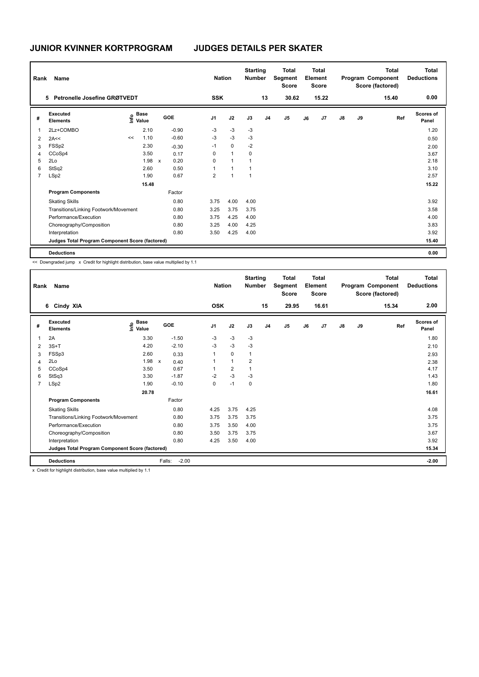| Rank | Name                                            |                                           |       |                      |                         | <b>Nation</b>  | <b>Starting</b><br><b>Number</b> |                | Total<br>Segment<br><b>Score</b> |    | <b>Total</b><br>Element<br><b>Score</b> |               |    | <b>Total</b><br>Program Component<br>Score (factored) | <b>Total</b><br><b>Deductions</b> |
|------|-------------------------------------------------|-------------------------------------------|-------|----------------------|-------------------------|----------------|----------------------------------|----------------|----------------------------------|----|-----------------------------------------|---------------|----|-------------------------------------------------------|-----------------------------------|
|      | Petronelle Josefine GRØTVEDT<br>5               |                                           |       |                      | <b>SSK</b>              |                |                                  | 13             | 30.62                            |    | 15.22                                   |               |    | 15.40                                                 | 0.00                              |
| #    | Executed<br><b>Elements</b>                     | $\frac{e}{E}$ Base<br>$\frac{e}{E}$ Value |       | <b>GOE</b>           | J <sub>1</sub>          | J2             | J3                               | J <sub>4</sub> | J5                               | J6 | J7                                      | $\mathsf{J}8$ | J9 | Ref                                                   | Scores of<br>Panel                |
| 1    | 2Lz+COMBO                                       |                                           | 2.10  | $-0.90$              | -3                      | $-3$           | $-3$                             |                |                                  |    |                                         |               |    |                                                       | 1.20                              |
| 2    | 2A<<                                            | <<                                        | 1.10  | $-0.60$              | $-3$                    | $-3$           | $-3$                             |                |                                  |    |                                         |               |    |                                                       | 0.50                              |
| 3    | FSSp2                                           |                                           | 2.30  | $-0.30$              | $-1$                    | $\mathbf 0$    | $-2$                             |                |                                  |    |                                         |               |    |                                                       | 2.00                              |
| 4    | CCoSp4                                          |                                           | 3.50  | 0.17                 | 0                       | $\mathbf{1}$   | 0                                |                |                                  |    |                                         |               |    |                                                       | 3.67                              |
| 5    | 2Lo                                             |                                           | 1.98  | 0.20<br>$\mathsf{x}$ | 0                       | 1              | $\overline{1}$                   |                |                                  |    |                                         |               |    |                                                       | 2.18                              |
| 6    | StSq2                                           |                                           | 2.60  | 0.50                 |                         | 1              |                                  |                |                                  |    |                                         |               |    |                                                       | 3.10                              |
| 7    | LSp2                                            |                                           | 1.90  | 0.67                 | $\overline{\mathbf{c}}$ | $\overline{1}$ | 1                                |                |                                  |    |                                         |               |    |                                                       | 2.57                              |
|      |                                                 |                                           | 15.48 |                      |                         |                |                                  |                |                                  |    |                                         |               |    |                                                       | 15.22                             |
|      | <b>Program Components</b>                       |                                           |       | Factor               |                         |                |                                  |                |                                  |    |                                         |               |    |                                                       |                                   |
|      | <b>Skating Skills</b>                           |                                           |       | 0.80                 | 3.75                    | 4.00           | 4.00                             |                |                                  |    |                                         |               |    |                                                       | 3.92                              |
|      | Transitions/Linking Footwork/Movement           |                                           |       | 0.80                 | 3.25                    | 3.75           | 3.75                             |                |                                  |    |                                         |               |    |                                                       | 3.58                              |
|      | Performance/Execution                           |                                           |       | 0.80                 | 3.75                    | 4.25           | 4.00                             |                |                                  |    |                                         |               |    |                                                       | 4.00                              |
|      | Choreography/Composition                        |                                           |       | 0.80                 | 3.25                    | 4.00           | 4.25                             |                |                                  |    |                                         |               |    |                                                       | 3.83                              |
|      | Interpretation                                  |                                           |       | 0.80                 | 3.50                    | 4.25           | 4.00                             |                |                                  |    |                                         |               |    |                                                       | 3.92                              |
|      | Judges Total Program Component Score (factored) |                                           |       |                      |                         |                |                                  |                |                                  |    |                                         |               |    |                                                       | 15.40                             |
|      | <b>Deductions</b>                               |                                           |       |                      |                         |                |                                  |                |                                  |    |                                         |               |    |                                                       | 0.00                              |

<< Downgraded jump x Credit for highlight distribution, base value multiplied by 1.1

| Rank           | Name                        |                                                 |                                   |                      | <b>Nation</b>  |                | <b>Starting</b><br><b>Number</b> |                | <b>Total</b><br>Segment<br><b>Score</b> |    | <b>Total</b><br>Element<br>Score |               |    | <b>Total</b><br>Program Component<br>Score (factored) | <b>Total</b><br><b>Deductions</b> |
|----------------|-----------------------------|-------------------------------------------------|-----------------------------------|----------------------|----------------|----------------|----------------------------------|----------------|-----------------------------------------|----|----------------------------------|---------------|----|-------------------------------------------------------|-----------------------------------|
|                | 6 Cindy XIA                 |                                                 |                                   |                      | <b>OSK</b>     |                |                                  | 15             | 29.95                                   |    | 16.61                            |               |    | 15.34                                                 | 2.00                              |
| #              | Executed<br><b>Elements</b> |                                                 | <b>Base</b><br>$\frac{6}{5}$ Pase | GOE                  | J <sub>1</sub> | J2             | J3                               | J <sub>4</sub> | J <sub>5</sub>                          | J6 | J7                               | $\mathsf{J}8$ | J9 | Ref                                                   | <b>Scores of</b><br>Panel         |
| 1              | 2A                          |                                                 | 3.30                              | $-1.50$              | $-3$           | $-3$           | $-3$                             |                |                                         |    |                                  |               |    |                                                       | 1.80                              |
| 2              | $3S+T$                      |                                                 | 4.20                              | $-2.10$              | -3             | $-3$           | $-3$                             |                |                                         |    |                                  |               |    |                                                       | 2.10                              |
| 3              | FSSp3                       |                                                 | 2.60                              | 0.33                 |                | $\mathbf 0$    | $\overline{1}$                   |                |                                         |    |                                  |               |    |                                                       | 2.93                              |
| 4              | 2Lo                         |                                                 | 1.98                              | $\mathsf{x}$<br>0.40 |                | $\overline{1}$ | $\overline{2}$                   |                |                                         |    |                                  |               |    |                                                       | 2.38                              |
| 5              | CCoSp4                      |                                                 | 3.50                              | 0.67                 |                | $\overline{2}$ |                                  |                |                                         |    |                                  |               |    |                                                       | 4.17                              |
| 6              | StSq3                       |                                                 | 3.30                              | $-1.87$              | $-2$           | $-3$           | $-3$                             |                |                                         |    |                                  |               |    |                                                       | 1.43                              |
| $\overline{7}$ | LSp2                        |                                                 | 1.90                              | $-0.10$              | 0              | $-1$           | $\mathbf 0$                      |                |                                         |    |                                  |               |    |                                                       | 1.80                              |
|                |                             |                                                 | 20.78                             |                      |                |                |                                  |                |                                         |    |                                  |               |    |                                                       | 16.61                             |
|                | <b>Program Components</b>   |                                                 |                                   | Factor               |                |                |                                  |                |                                         |    |                                  |               |    |                                                       |                                   |
|                | <b>Skating Skills</b>       |                                                 |                                   | 0.80                 | 4.25           | 3.75           | 4.25                             |                |                                         |    |                                  |               |    |                                                       | 4.08                              |
|                |                             | Transitions/Linking Footwork/Movement           |                                   | 0.80                 | 3.75           | 3.75           | 3.75                             |                |                                         |    |                                  |               |    |                                                       | 3.75                              |
|                | Performance/Execution       |                                                 |                                   | 0.80                 | 3.75           | 3.50           | 4.00                             |                |                                         |    |                                  |               |    |                                                       | 3.75                              |
|                |                             | Choreography/Composition                        |                                   | 0.80                 | 3.50           | 3.75           | 3.75                             |                |                                         |    |                                  |               |    |                                                       | 3.67                              |
|                | Interpretation              |                                                 |                                   | 0.80                 | 4.25           | 3.50           | 4.00                             |                |                                         |    |                                  |               |    |                                                       | 3.92                              |
|                |                             | Judges Total Program Component Score (factored) |                                   |                      |                |                |                                  |                |                                         |    |                                  |               |    |                                                       | 15.34                             |
|                | <b>Deductions</b>           |                                                 |                                   | $-2.00$<br>Falls:    |                |                |                                  |                |                                         |    |                                  |               |    |                                                       | $-2.00$                           |

x Credit for highlight distribution, base value multiplied by 1.1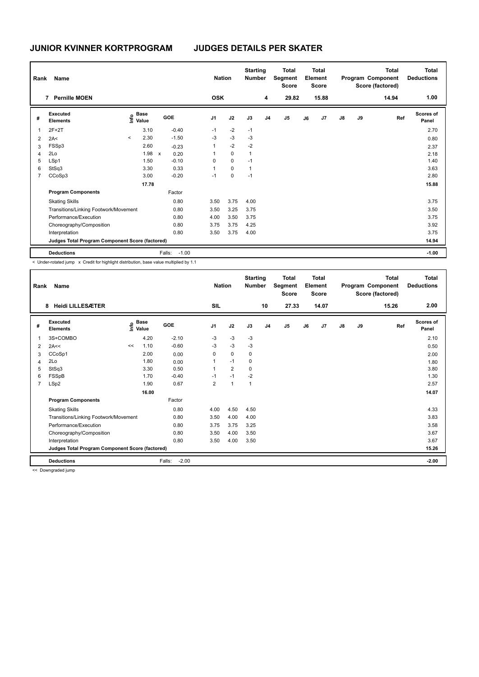| Rank           | Name                                            |         |                                    |              |                   | <b>Nation</b>  |             | <b>Starting</b><br><b>Number</b> |                | <b>Total</b><br>Segment<br><b>Score</b> |    | <b>Total</b><br>Element<br><b>Score</b> |               |    | Total<br>Program Component<br>Score (factored) | <b>Total</b><br><b>Deductions</b> |
|----------------|-------------------------------------------------|---------|------------------------------------|--------------|-------------------|----------------|-------------|----------------------------------|----------------|-----------------------------------------|----|-----------------------------------------|---------------|----|------------------------------------------------|-----------------------------------|
|                | <b>Pernille MOEN</b><br>7                       |         |                                    |              |                   | <b>OSK</b>     |             |                                  | 4              | 29.82                                   |    | 15.88                                   |               |    | 14.94                                          | 1.00                              |
| #              | Executed<br><b>Elements</b>                     |         | <b>Base</b><br>$\frac{6}{5}$ Value |              | GOE               | J <sub>1</sub> | J2          | J3                               | J <sub>4</sub> | J <sub>5</sub>                          | J6 | J7                                      | $\mathsf{J}8$ | J9 | Ref                                            | Scores of<br>Panel                |
| 1              | $2F+2T$                                         |         | 3.10                               |              | $-0.40$           | $-1$           | $-2$        | $-1$                             |                |                                         |    |                                         |               |    |                                                | 2.70                              |
| 2              | 2A<                                             | $\prec$ | 2.30                               |              | $-1.50$           | $-3$           | $-3$        | $-3$                             |                |                                         |    |                                         |               |    |                                                | 0.80                              |
| 3              | FSSp3                                           |         | 2.60                               |              | $-0.23$           | 1              | $-2$        | $-2$                             |                |                                         |    |                                         |               |    |                                                | 2.37                              |
| 4              | 2Lo                                             |         | 1.98                               | $\mathsf{x}$ | 0.20              | 1              | $\mathbf 0$ | $\overline{1}$                   |                |                                         |    |                                         |               |    |                                                | 2.18                              |
| 5              | LSp1                                            |         | 1.50                               |              | $-0.10$           | 0              | $\mathbf 0$ | $-1$                             |                |                                         |    |                                         |               |    |                                                | 1.40                              |
| 6              | StSq3                                           |         | 3.30                               |              | 0.33              | $\overline{1}$ | $\mathbf 0$ | $\overline{1}$                   |                |                                         |    |                                         |               |    |                                                | 3.63                              |
| $\overline{7}$ | CCoSp3                                          |         | 3.00                               |              | $-0.20$           | $-1$           | $\mathbf 0$ | $-1$                             |                |                                         |    |                                         |               |    |                                                | 2.80                              |
|                |                                                 |         | 17.78                              |              |                   |                |             |                                  |                |                                         |    |                                         |               |    |                                                | 15.88                             |
|                | <b>Program Components</b>                       |         |                                    |              | Factor            |                |             |                                  |                |                                         |    |                                         |               |    |                                                |                                   |
|                | <b>Skating Skills</b>                           |         |                                    |              | 0.80              | 3.50           | 3.75        | 4.00                             |                |                                         |    |                                         |               |    |                                                | 3.75                              |
|                | Transitions/Linking Footwork/Movement           |         |                                    |              | 0.80              | 3.50           | 3.25        | 3.75                             |                |                                         |    |                                         |               |    |                                                | 3.50                              |
|                | Performance/Execution                           |         |                                    |              | 0.80              | 4.00           | 3.50        | 3.75                             |                |                                         |    |                                         |               |    |                                                | 3.75                              |
|                | Choreography/Composition                        |         |                                    |              | 0.80              | 3.75           | 3.75        | 4.25                             |                |                                         |    |                                         |               |    |                                                | 3.92                              |
|                | Interpretation                                  |         |                                    |              | 0.80              | 3.50           | 3.75        | 4.00                             |                |                                         |    |                                         |               |    |                                                | 3.75                              |
|                | Judges Total Program Component Score (factored) |         |                                    |              |                   |                |             |                                  |                |                                         |    |                                         |               |    |                                                | 14.94                             |
|                | <b>Deductions</b>                               |         |                                    |              | Falls:<br>$-1.00$ |                |             |                                  |                |                                         |    |                                         |               |    |                                                | $-1.00$                           |

< Under-rotated jump x Credit for highlight distribution, base value multiplied by 1.1

| Rank           | Name                                            |    |                                           |                   | <b>Nation</b>  |                | <b>Starting</b><br><b>Number</b> |                | <b>Total</b><br>Segment<br><b>Score</b> |    | Total<br>Element<br><b>Score</b> |               |    | <b>Total</b><br>Program Component<br>Score (factored) | <b>Total</b><br><b>Deductions</b> |
|----------------|-------------------------------------------------|----|-------------------------------------------|-------------------|----------------|----------------|----------------------------------|----------------|-----------------------------------------|----|----------------------------------|---------------|----|-------------------------------------------------------|-----------------------------------|
|                | <b>Heidi LILLESÆTER</b><br>8                    |    |                                           |                   | SIL            |                |                                  | 10             | 27.33                                   |    | 14.07                            |               |    | 15.26                                                 | 2.00                              |
| #              | Executed<br><b>Elements</b>                     |    | $\frac{e}{E}$ Base<br>$\frac{e}{E}$ Value | GOE               | J <sub>1</sub> | J2             | J3                               | J <sub>4</sub> | J <sub>5</sub>                          | J6 | J <sub>7</sub>                   | $\mathsf{J}8$ | J9 | Ref                                                   | Scores of<br>Panel                |
|                | 3S+COMBO                                        |    | 4.20                                      | $-2.10$           | $-3$           | $-3$           | $-3$                             |                |                                         |    |                                  |               |    |                                                       | 2.10                              |
| 2              | 2A<<                                            | << | 1.10                                      | $-0.60$           | $-3$           | $-3$           | -3                               |                |                                         |    |                                  |               |    |                                                       | 0.50                              |
| 3              | CCoSp1                                          |    | 2.00                                      | 0.00              | 0              | $\mathbf 0$    | 0                                |                |                                         |    |                                  |               |    |                                                       | 2.00                              |
| 4              | 2Lo                                             |    | 1.80                                      | 0.00              | 1              | $-1$           | 0                                |                |                                         |    |                                  |               |    |                                                       | 1.80                              |
| 5              | StSq3                                           |    | 3.30                                      | 0.50              | 1              | $\overline{2}$ | $\Omega$                         |                |                                         |    |                                  |               |    |                                                       | 3.80                              |
| 6              | FSSpB                                           |    | 1.70                                      | $-0.40$           | $-1$           | $-1$           | $-2$                             |                |                                         |    |                                  |               |    |                                                       | 1.30                              |
| $\overline{7}$ | LSp2                                            |    | 1.90                                      | 0.67              | $\overline{2}$ | $\mathbf{1}$   | $\mathbf{1}$                     |                |                                         |    |                                  |               |    |                                                       | 2.57                              |
|                |                                                 |    | 16.00                                     |                   |                |                |                                  |                |                                         |    |                                  |               |    |                                                       | 14.07                             |
|                | <b>Program Components</b>                       |    |                                           | Factor            |                |                |                                  |                |                                         |    |                                  |               |    |                                                       |                                   |
|                | <b>Skating Skills</b>                           |    |                                           | 0.80              | 4.00           | 4.50           | 4.50                             |                |                                         |    |                                  |               |    |                                                       | 4.33                              |
|                | Transitions/Linking Footwork/Movement           |    |                                           | 0.80              | 3.50           | 4.00           | 4.00                             |                |                                         |    |                                  |               |    |                                                       | 3.83                              |
|                | Performance/Execution                           |    |                                           | 0.80              | 3.75           | 3.75           | 3.25                             |                |                                         |    |                                  |               |    |                                                       | 3.58                              |
|                | Choreography/Composition                        |    |                                           | 0.80              | 3.50           | 4.00           | 3.50                             |                |                                         |    |                                  |               |    |                                                       | 3.67                              |
|                | Interpretation                                  |    |                                           | 0.80              | 3.50           | 4.00           | 3.50                             |                |                                         |    |                                  |               |    |                                                       | 3.67                              |
|                | Judges Total Program Component Score (factored) |    |                                           |                   |                |                |                                  |                |                                         |    |                                  |               |    |                                                       | 15.26                             |
|                | <b>Deductions</b>                               |    |                                           | $-2.00$<br>Falls: |                |                |                                  |                |                                         |    |                                  |               |    |                                                       | $-2.00$                           |
|                |                                                 |    |                                           |                   |                |                |                                  |                |                                         |    |                                  |               |    |                                                       |                                   |

<< Downgraded jump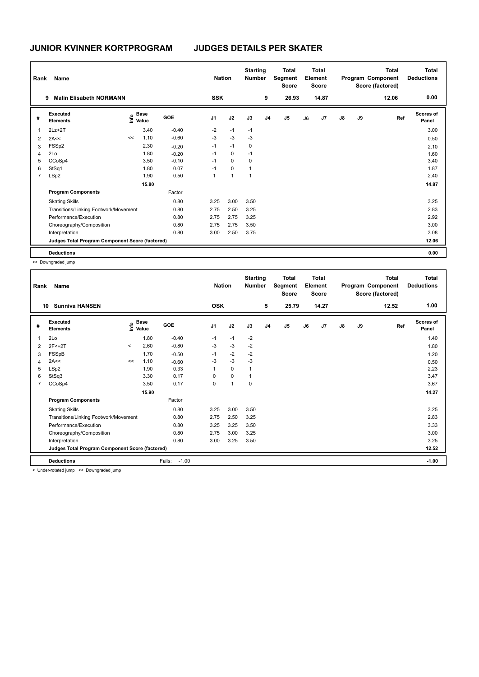| Rank           | Name                                            |    |                                  |         | <b>Nation</b>  |                | <b>Starting</b><br><b>Number</b> |                | <b>Total</b><br>Segment<br><b>Score</b> |    | <b>Total</b><br>Element<br><b>Score</b> |               |    | Total<br>Program Component<br>Score (factored) | <b>Total</b><br><b>Deductions</b> |
|----------------|-------------------------------------------------|----|----------------------------------|---------|----------------|----------------|----------------------------------|----------------|-----------------------------------------|----|-----------------------------------------|---------------|----|------------------------------------------------|-----------------------------------|
|                | <b>Malin Elisabeth NORMANN</b><br>9             |    |                                  |         | <b>SSK</b>     |                |                                  | 9              | 26.93                                   |    | 14.87                                   |               |    | 12.06                                          | 0.00                              |
| #              | Executed<br><b>Elements</b>                     |    | <b>Base</b><br>e Base<br>⊆ Value | GOE     | J <sub>1</sub> | J2             | J3                               | J <sub>4</sub> | J <sub>5</sub>                          | J6 | J7                                      | $\mathsf{J}8$ | J9 | Ref                                            | <b>Scores of</b><br>Panel         |
| 1              | $2Lz+2T$                                        |    | 3.40                             | $-0.40$ | $-2$           | $-1$           | $-1$                             |                |                                         |    |                                         |               |    |                                                | 3.00                              |
| 2              | 2A<<                                            | << | 1.10                             | $-0.60$ | $-3$           | $-3$           | $-3$                             |                |                                         |    |                                         |               |    |                                                | 0.50                              |
| 3              | FSSp2                                           |    | 2.30                             | $-0.20$ | $-1$           | $-1$           | 0                                |                |                                         |    |                                         |               |    |                                                | 2.10                              |
| 4              | 2Lo                                             |    | 1.80                             | $-0.20$ | $-1$           | 0              | $-1$                             |                |                                         |    |                                         |               |    |                                                | 1.60                              |
| 5              | CCoSp4                                          |    | 3.50                             | $-0.10$ | $-1$           | $\mathbf 0$    | 0                                |                |                                         |    |                                         |               |    |                                                | 3.40                              |
| 6              | StSq1                                           |    | 1.80                             | 0.07    | $-1$           | 0              | $\overline{1}$                   |                |                                         |    |                                         |               |    |                                                | 1.87                              |
| $\overline{7}$ | LSp2                                            |    | 1.90                             | 0.50    | 1              | $\overline{1}$ | 1                                |                |                                         |    |                                         |               |    |                                                | 2.40                              |
|                |                                                 |    | 15.80                            |         |                |                |                                  |                |                                         |    |                                         |               |    |                                                | 14.87                             |
|                | <b>Program Components</b>                       |    |                                  | Factor  |                |                |                                  |                |                                         |    |                                         |               |    |                                                |                                   |
|                | <b>Skating Skills</b>                           |    |                                  | 0.80    | 3.25           | 3.00           | 3.50                             |                |                                         |    |                                         |               |    |                                                | 3.25                              |
|                | Transitions/Linking Footwork/Movement           |    |                                  | 0.80    | 2.75           | 2.50           | 3.25                             |                |                                         |    |                                         |               |    |                                                | 2.83                              |
|                | Performance/Execution                           |    |                                  | 0.80    | 2.75           | 2.75           | 3.25                             |                |                                         |    |                                         |               |    |                                                | 2.92                              |
|                | Choreography/Composition                        |    |                                  | 0.80    | 2.75           | 2.75           | 3.50                             |                |                                         |    |                                         |               |    |                                                | 3.00                              |
|                | Interpretation                                  |    |                                  | 0.80    | 3.00           | 2.50           | 3.75                             |                |                                         |    |                                         |               |    |                                                | 3.08                              |
|                | Judges Total Program Component Score (factored) |    |                                  |         |                |                |                                  |                |                                         |    |                                         |               |    |                                                | 12.06                             |
|                | <b>Deductions</b>                               |    |                                  |         |                |                |                                  |                |                                         |    |                                         |               |    |                                                | 0.00                              |

<< Downgraded jump

| Rank<br>10     | Name<br><b>Sunniva HANSEN</b>                                |          |                                  |                   | <b>Nation</b><br><b>OSK</b> |              | <b>Starting</b><br><b>Number</b> | 5              | Total<br>Segment<br><b>Score</b><br>25.79 |    | <b>Total</b><br>Element<br><b>Score</b><br>14.27 |               |    | <b>Total</b><br>Program Component<br>Score (factored)<br>12.52 | <b>Total</b><br><b>Deductions</b><br>1.00 |
|----------------|--------------------------------------------------------------|----------|----------------------------------|-------------------|-----------------------------|--------------|----------------------------------|----------------|-------------------------------------------|----|--------------------------------------------------|---------------|----|----------------------------------------------------------------|-------------------------------------------|
|                |                                                              |          |                                  |                   |                             |              |                                  |                |                                           |    |                                                  |               |    |                                                                |                                           |
| #              | Executed<br><b>Elements</b>                                  |          | <b>Base</b><br>e Base<br>⊆ Value | GOE               | J <sub>1</sub>              | J2           | J3                               | J <sub>4</sub> | J5                                        | J6 | J7                                               | $\mathsf{J}8$ | J9 | Ref                                                            | <b>Scores of</b><br>Panel                 |
| 1              | 2Lo                                                          |          | 1.80                             | $-0.40$           | $-1$                        | $-1$         | $-2$                             |                |                                           |    |                                                  |               |    |                                                                | 1.40                                      |
| 2              | $2F < +2T$                                                   | $\hat{}$ | 2.60                             | $-0.80$           | $-3$                        | $-3$         | $-2$                             |                |                                           |    |                                                  |               |    |                                                                | 1.80                                      |
| 3              | FSSpB                                                        |          | 1.70                             | $-0.50$           | $-1$                        | $-2$         | $-2$                             |                |                                           |    |                                                  |               |    |                                                                | 1.20                                      |
| 4              | 2A<<                                                         | <<       | 1.10                             | $-0.60$           | $-3$                        | $-3$         | $-3$                             |                |                                           |    |                                                  |               |    |                                                                | 0.50                                      |
| 5              | LSp2                                                         |          | 1.90                             | 0.33              |                             | $\mathbf 0$  |                                  |                |                                           |    |                                                  |               |    |                                                                | 2.23                                      |
| 6              | StSq3                                                        |          | 3.30                             | 0.17              | $\Omega$                    | $\mathbf 0$  |                                  |                |                                           |    |                                                  |               |    |                                                                | 3.47                                      |
| $\overline{7}$ | CCoSp4                                                       |          | 3.50                             | 0.17              | 0                           | $\mathbf{1}$ | 0                                |                |                                           |    |                                                  |               |    |                                                                | 3.67                                      |
|                |                                                              |          | 15.90                            |                   |                             |              |                                  |                |                                           |    |                                                  |               |    |                                                                | 14.27                                     |
|                | <b>Program Components</b>                                    |          |                                  | Factor            |                             |              |                                  |                |                                           |    |                                                  |               |    |                                                                |                                           |
|                | <b>Skating Skills</b>                                        |          |                                  | 0.80              | 3.25                        | 3.00         | 3.50                             |                |                                           |    |                                                  |               |    |                                                                | 3.25                                      |
|                | Transitions/Linking Footwork/Movement                        |          |                                  | 0.80              | 2.75                        | 2.50         | 3.25                             |                |                                           |    |                                                  |               |    |                                                                | 2.83                                      |
|                | Performance/Execution                                        |          |                                  | 0.80              | 3.25                        | 3.25         | 3.50                             |                |                                           |    |                                                  |               |    |                                                                | 3.33                                      |
|                | Choreography/Composition                                     |          |                                  | 0.80              | 2.75                        | 3.00         | 3.25                             |                |                                           |    |                                                  |               |    |                                                                | 3.00                                      |
|                | Interpretation                                               |          |                                  | 0.80              | 3.00                        | 3.25         | 3.50                             |                |                                           |    |                                                  |               |    |                                                                | 3.25                                      |
|                | Judges Total Program Component Score (factored)              |          |                                  |                   |                             |              |                                  |                |                                           |    |                                                  |               |    |                                                                | 12.52                                     |
|                | <b>Deductions</b>                                            |          |                                  | Falls:<br>$-1.00$ |                             |              |                                  |                |                                           |    |                                                  |               |    |                                                                | $-1.00$                                   |
|                | .<br>$\sim$ $\sim$ $\sim$ $\sim$ $\sim$ $\sim$ $\sim$ $\sim$ |          |                                  |                   |                             |              |                                  |                |                                           |    |                                                  |               |    |                                                                |                                           |

< Under-rotated jump << Downgraded jump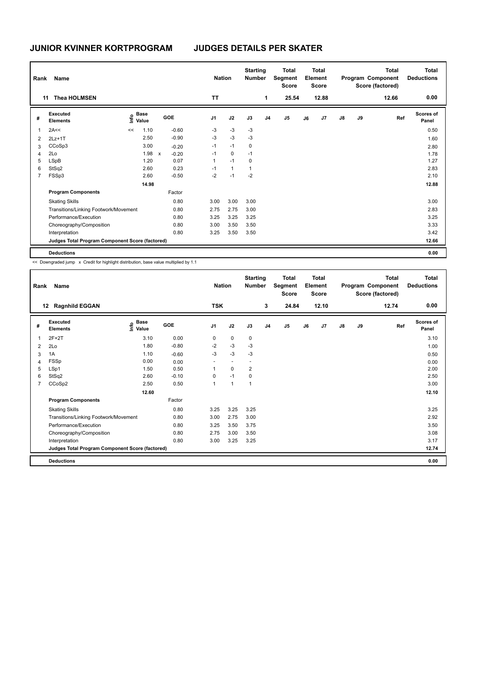| Rank | <b>Name</b>                                     |                                  |       |              |         |                | <b>Nation</b> |              | <b>Starting</b><br><b>Number</b> |                | <b>Total</b><br>Segment<br><b>Score</b> |    | Total<br>Element<br><b>Score</b> |               |    | Total<br>Program Component<br>Score (factored) | <b>Total</b><br><b>Deductions</b> |
|------|-------------------------------------------------|----------------------------------|-------|--------------|---------|----------------|---------------|--------------|----------------------------------|----------------|-----------------------------------------|----|----------------------------------|---------------|----|------------------------------------------------|-----------------------------------|
|      | <b>Thea HOLMSEN</b><br>11                       |                                  |       |              |         | <b>TT</b>      |               |              |                                  | 1              | 25.54                                   |    | 12.88                            |               |    | 12.66                                          | 0.00                              |
| #    | Executed<br><b>Elements</b>                     | <b>Base</b><br>o Base<br>⊆ Value |       | GOE          |         | J <sub>1</sub> |               | J2           | J3                               | J <sub>4</sub> | J <sub>5</sub>                          | J6 | J7                               | $\mathsf{J}8$ | J9 | Ref                                            | <b>Scores of</b><br>Panel         |
| 1    | 2A<<                                            | <<                               | 1.10  |              | $-0.60$ | $-3$           |               | $-3$         | -3                               |                |                                         |    |                                  |               |    |                                                | 0.50                              |
| 2    | $2Lz+1T$                                        |                                  | 2.50  |              | $-0.90$ | $-3$           |               | $-3$         | $-3$                             |                |                                         |    |                                  |               |    |                                                | 1.60                              |
| 3    | CCoSp3                                          |                                  | 3.00  |              | $-0.20$ | $-1$           |               | $-1$         | 0                                |                |                                         |    |                                  |               |    |                                                | 2.80                              |
| 4    | 2Lo                                             |                                  | 1.98  | $\mathsf{x}$ | $-0.20$ | $-1$           |               | 0            | $-1$                             |                |                                         |    |                                  |               |    |                                                | 1.78                              |
| 5    | <b>LSpB</b>                                     |                                  | 1.20  |              | 0.07    | $\mathbf{1}$   |               | $-1$         | 0                                |                |                                         |    |                                  |               |    |                                                | 1.27                              |
| 6    | StSq2                                           |                                  | 2.60  |              | 0.23    | $-1$           |               | $\mathbf{1}$ | 1                                |                |                                         |    |                                  |               |    |                                                | 2.83                              |
|      | FSSp3                                           |                                  | 2.60  |              | $-0.50$ | -2             |               | $-1$         | $-2$                             |                |                                         |    |                                  |               |    |                                                | 2.10                              |
|      |                                                 |                                  | 14.98 |              |         |                |               |              |                                  |                |                                         |    |                                  |               |    |                                                | 12.88                             |
|      | <b>Program Components</b>                       |                                  |       |              | Factor  |                |               |              |                                  |                |                                         |    |                                  |               |    |                                                |                                   |
|      | <b>Skating Skills</b>                           |                                  |       |              | 0.80    | 3.00           |               | 3.00         | 3.00                             |                |                                         |    |                                  |               |    |                                                | 3.00                              |
|      | Transitions/Linking Footwork/Movement           |                                  |       |              | 0.80    | 2.75           |               | 2.75         | 3.00                             |                |                                         |    |                                  |               |    |                                                | 2.83                              |
|      | Performance/Execution                           |                                  |       |              | 0.80    | 3.25           |               | 3.25         | 3.25                             |                |                                         |    |                                  |               |    |                                                | 3.25                              |
|      | Choreography/Composition                        |                                  |       |              | 0.80    | 3.00           |               | 3.50         | 3.50                             |                |                                         |    |                                  |               |    |                                                | 3.33                              |
|      | Interpretation                                  |                                  |       |              | 0.80    | 3.25           |               | 3.50         | 3.50                             |                |                                         |    |                                  |               |    |                                                | 3.42                              |
|      | Judges Total Program Component Score (factored) |                                  |       |              |         |                |               |              |                                  |                |                                         |    |                                  |               |    |                                                | 12.66                             |
|      | <b>Deductions</b>                               |                                  |       |              |         |                |               |              |                                  |                |                                         |    |                                  |               |    |                                                | 0.00                              |

<< Downgraded jump x Credit for highlight distribution, base value multiplied by 1.1

| Rank           | Name                                            |                                  |         | <b>Nation</b>  |                          | <b>Starting</b><br><b>Number</b> |                | <b>Total</b><br>Segment<br><b>Score</b> |    | <b>Total</b><br>Element<br><b>Score</b> |               |    | <b>Total</b><br>Program Component<br>Score (factored) | <b>Total</b><br><b>Deductions</b> |
|----------------|-------------------------------------------------|----------------------------------|---------|----------------|--------------------------|----------------------------------|----------------|-----------------------------------------|----|-----------------------------------------|---------------|----|-------------------------------------------------------|-----------------------------------|
|                | <b>Ragnhild EGGAN</b><br>12                     |                                  |         | <b>TSK</b>     |                          |                                  | 3              | 24.84                                   |    | 12.10                                   |               |    | 12.74                                                 | 0.00                              |
| #              | Executed<br><b>Elements</b>                     | <b>Base</b><br>e Base<br>⊆ Value | GOE     | J <sub>1</sub> | J2                       | J3                               | J <sub>4</sub> | J <sub>5</sub>                          | J6 | J7                                      | $\mathsf{J}8$ | J9 | Ref                                                   | <b>Scores of</b><br>Panel         |
| 1              | $2F+2T$                                         | 3.10                             | 0.00    | 0              | $\mathbf 0$              | 0                                |                |                                         |    |                                         |               |    |                                                       | 3.10                              |
| 2              | 2Lo                                             | 1.80                             | $-0.80$ | $-2$           | $-3$                     | $-3$                             |                |                                         |    |                                         |               |    |                                                       | 1.00                              |
| 3              | 1A                                              | 1.10                             | $-0.60$ | -3             | $-3$                     | $-3$                             |                |                                         |    |                                         |               |    |                                                       | 0.50                              |
| 4              | FSSp                                            | 0.00                             | 0.00    |                | $\overline{\phantom{a}}$ | $\overline{\phantom{a}}$         |                |                                         |    |                                         |               |    |                                                       | 0.00                              |
| 5              | LSp1                                            | 1.50                             | 0.50    | 1              | $\mathbf 0$              | $\overline{\mathbf{c}}$          |                |                                         |    |                                         |               |    |                                                       | 2.00                              |
| 6              | StSq2                                           | 2.60                             | $-0.10$ | 0              | $-1$                     | 0                                |                |                                         |    |                                         |               |    |                                                       | 2.50                              |
| $\overline{7}$ | CCoSp2                                          | 2.50                             | 0.50    | $\mathbf{1}$   | $\overline{1}$           | 1                                |                |                                         |    |                                         |               |    |                                                       | 3.00                              |
|                |                                                 | 12.60                            |         |                |                          |                                  |                |                                         |    |                                         |               |    |                                                       | 12.10                             |
|                | <b>Program Components</b>                       |                                  | Factor  |                |                          |                                  |                |                                         |    |                                         |               |    |                                                       |                                   |
|                | <b>Skating Skills</b>                           |                                  | 0.80    | 3.25           | 3.25                     | 3.25                             |                |                                         |    |                                         |               |    |                                                       | 3.25                              |
|                | Transitions/Linking Footwork/Movement           |                                  | 0.80    | 3.00           | 2.75                     | 3.00                             |                |                                         |    |                                         |               |    |                                                       | 2.92                              |
|                | Performance/Execution                           |                                  | 0.80    | 3.25           | 3.50                     | 3.75                             |                |                                         |    |                                         |               |    |                                                       | 3.50                              |
|                | Choreography/Composition                        |                                  | 0.80    | 2.75           | 3.00                     | 3.50                             |                |                                         |    |                                         |               |    |                                                       | 3.08                              |
|                | Interpretation                                  |                                  | 0.80    | 3.00           | 3.25                     | 3.25                             |                |                                         |    |                                         |               |    |                                                       | 3.17                              |
|                | Judges Total Program Component Score (factored) |                                  |         |                |                          |                                  |                |                                         |    |                                         |               |    |                                                       | 12.74                             |
|                | <b>Deductions</b>                               |                                  |         |                |                          |                                  |                |                                         |    |                                         |               |    |                                                       | 0.00                              |